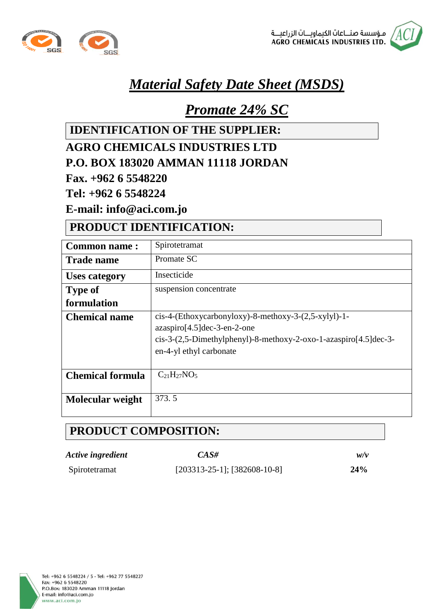



# *Material Safety Date Sheet (MSDS)*

# *Promate 24% SC*

**IDENTIFICATION OF THE SUPPLIER:**

#### **AGRO CHEMICALS INDUSTRIES LTD P.O. BOX 183020 AMMAN 11118 JORDAN**

**Fax. +962 6 5548220**

**Tel: +962 6 5548224**

**E-mail: info@aci.com.jo**

### **PRODUCT IDENTIFICATION:**

| <b>Common name:</b>     | Spirotetramat                                                      |  |
|-------------------------|--------------------------------------------------------------------|--|
| <b>Trade name</b>       | Promate SC                                                         |  |
| <b>Uses category</b>    | Insecticide                                                        |  |
| <b>Type of</b>          | suspension concentrate                                             |  |
| formulation             |                                                                    |  |
| <b>Chemical name</b>    | $cis-4-(Ethoxycarbonyloxy)-8-methoxy-3-(2,5-xylyl)-1-$             |  |
|                         | $azaspio[4.5]dec-3-en-2-one$                                       |  |
|                         | $cis-3-(2,5-Dimethylphenyl)-8-methoxy-2-oxo-1-azaspiro[4.5]dec-3-$ |  |
|                         | en-4-yl ethyl carbonate                                            |  |
|                         |                                                                    |  |
| <b>Chemical formula</b> | $C_{21}H_{27}NO_5$                                                 |  |
|                         |                                                                    |  |
| Molecular weight        | 373.5                                                              |  |
|                         |                                                                    |  |

## **PRODUCT COMPOSITION:**

| Active ingredient | $CAS\#$                           | w/v |
|-------------------|-----------------------------------|-----|
| Spirotetramat     | $[203313-25-1]$ ; $[382608-10-8]$ | 24% |

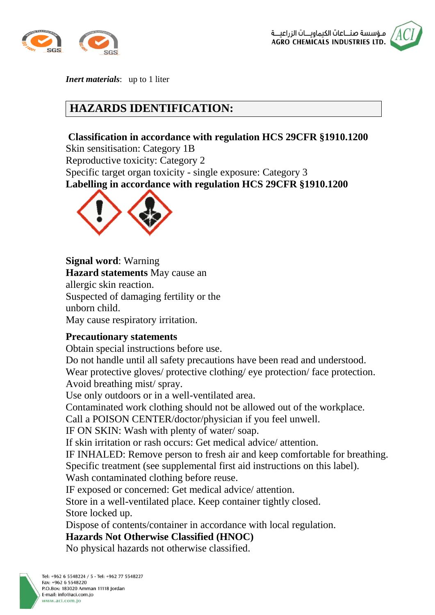



*Inert materials*: up to 1 liter

### **HAZARDS IDENTIFICATION:**

#### **Classification in accordance with regulation HCS 29CFR §1910.1200**

Skin sensitisation: Category 1B Reproductive toxicity: Category 2 Specific target organ toxicity - single exposure: Category 3 **Labelling in accordance with regulation HCS 29CFR §1910.1200**



**Signal word**: Warning

**Hazard statements** May cause an allergic skin reaction. Suspected of damaging fertility or the unborn child. May cause respiratory irritation.

#### **Precautionary statements**

Obtain special instructions before use.

Do not handle until all safety precautions have been read and understood. Wear protective gloves/ protective clothing/ eye protection/ face protection. Avoid breathing mist/ spray.

Use only outdoors or in a well-ventilated area.

Contaminated work clothing should not be allowed out of the workplace.

Call a POISON CENTER/doctor/physician if you feel unwell.

IF ON SKIN: Wash with plenty of water/ soap.

If skin irritation or rash occurs: Get medical advice/ attention.

IF INHALED: Remove person to fresh air and keep comfortable for breathing.

Specific treatment (see supplemental first aid instructions on this label).

Wash contaminated clothing before reuse.

IF exposed or concerned: Get medical advice/ attention.

Store in a well-ventilated place. Keep container tightly closed. Store locked up.

Dispose of contents/container in accordance with local regulation.

**Hazards Not Otherwise Classified (HNOC)**

No physical hazards not otherwise classified.

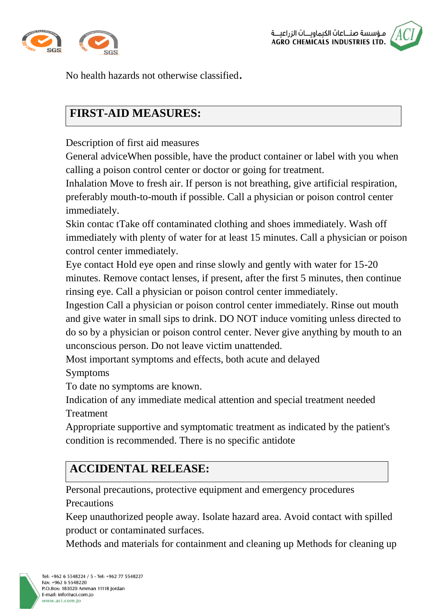



No health hazards not otherwise classified.

## **FIRST-AID MEASURES:**

Description of first aid measures

General adviceWhen possible, have the product container or label with you when calling a poison control center or doctor or going for treatment.

Inhalation Move to fresh air. If person is not breathing, give artificial respiration, preferably mouth-to-mouth if possible. Call a physician or poison control center immediately.

Skin contac tTake off contaminated clothing and shoes immediately. Wash off immediately with plenty of water for at least 15 minutes. Call a physician or poison control center immediately.

Eye contact Hold eye open and rinse slowly and gently with water for 15-20 minutes. Remove contact lenses, if present, after the first 5 minutes, then continue rinsing eye. Call a physician or poison control center immediately.

Ingestion Call a physician or poison control center immediately. Rinse out mouth and give water in small sips to drink. DO NOT induce vomiting unless directed to do so by a physician or poison control center. Never give anything by mouth to an unconscious person. Do not leave victim unattended.

Most important symptoms and effects, both acute and delayed

Symptoms

To date no symptoms are known.

Indication of any immediate medical attention and special treatment needed **Treatment** 

Appropriate supportive and symptomatic treatment as indicated by the patient's condition is recommended. There is no specific antidote

# **ACCIDENTAL RELEASE:**

Personal precautions, protective equipment and emergency procedures **Precautions** 

Keep unauthorized people away. Isolate hazard area. Avoid contact with spilled product or contaminated surfaces.

Methods and materials for containment and cleaning up Methods for cleaning up

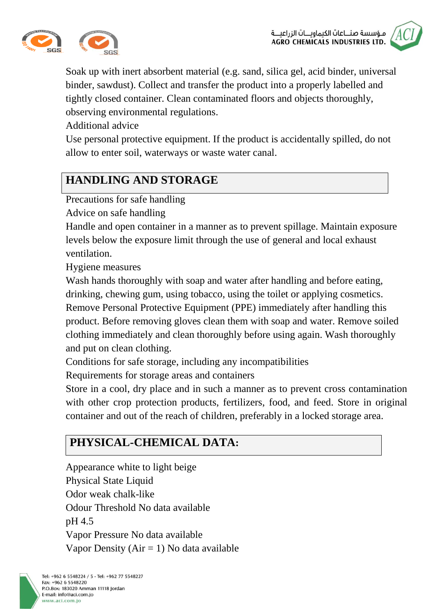



Soak up with inert absorbent material (e.g. sand, silica gel, acid binder, universal binder, sawdust). Collect and transfer the product into a properly labelled and tightly closed container. Clean contaminated floors and objects thoroughly, observing environmental regulations.

Additional advice

Use personal protective equipment. If the product is accidentally spilled, do not allow to enter soil, waterways or waste water canal.

## **HANDLING AND STORAGE**

Precautions for safe handling

Advice on safe handling

Handle and open container in a manner as to prevent spillage. Maintain exposure levels below the exposure limit through the use of general and local exhaust ventilation.

Hygiene measures

Wash hands thoroughly with soap and water after handling and before eating, drinking, chewing gum, using tobacco, using the toilet or applying cosmetics. Remove Personal Protective Equipment (PPE) immediately after handling this product. Before removing gloves clean them with soap and water. Remove soiled clothing immediately and clean thoroughly before using again. Wash thoroughly and put on clean clothing.

Conditions for safe storage, including any incompatibilities

Requirements for storage areas and containers

Store in a cool, dry place and in such a manner as to prevent cross contamination with other crop protection products, fertilizers, food, and feed. Store in original container and out of the reach of children, preferably in a locked storage area.

# **PHYSICAL-CHEMICAL DATA:**

Appearance white to light beige Physical State Liquid Odor weak chalk-like Odour Threshold No data available pH 4.5 Vapor Pressure No data available Vapor Density ( $Air = 1$ ) No data available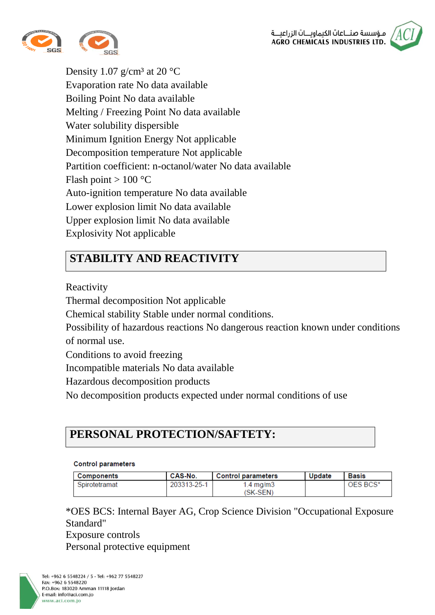



Density 1.07 g/cm<sup>3</sup> at 20  $^{\circ}$ C Evaporation rate No data available Boiling Point No data available Melting / Freezing Point No data available Water solubility dispersible Minimum Ignition Energy Not applicable Decomposition temperature Not applicable Partition coefficient: n-octanol/water No data available Flash point  $> 100 °C$ Auto-ignition temperature No data available Lower explosion limit No data available Upper explosion limit No data available Explosivity Not applicable

## **STABILITY AND REACTIVITY**

Reactivity

Thermal decomposition Not applicable

Chemical stability Stable under normal conditions.

Possibility of hazardous reactions No dangerous reaction known under conditions of normal use.

Conditions to avoid freezing

Incompatible materials No data available

Hazardous decomposition products

No decomposition products expected under normal conditions of use

## **PERSONAL PROTECTION/SAFTETY:**

#### **Control parameters**

| Components    | CAS-No.     | <b>Control parameters</b> | Update | <b>Basis</b> |
|---------------|-------------|---------------------------|--------|--------------|
| Spirotetramat | 203313-25-1 | 1.4 ma/m3<br>(SK-SEN)     |        | OES BCS*     |

\*OES BCS: Internal Bayer AG, Crop Science Division "Occupational Exposure Standard"

Exposure controls Personal protective equipment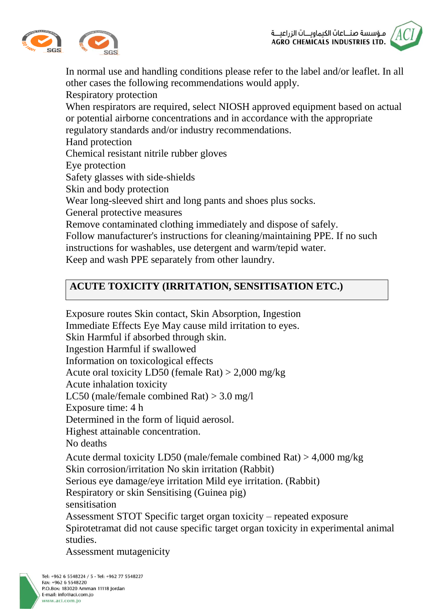



In normal use and handling conditions please refer to the label and/or leaflet. In all other cases the following recommendations would apply. Respiratory protection When respirators are required, select NIOSH approved equipment based on actual or potential airborne concentrations and in accordance with the appropriate regulatory standards and/or industry recommendations. Hand protection Chemical resistant nitrile rubber gloves Eye protection Safety glasses with side-shields Skin and body protection Wear long-sleeved shirt and long pants and shoes plus socks. General protective measures Remove contaminated clothing immediately and dispose of safely. Follow manufacturer's instructions for cleaning/maintaining PPE. If no such instructions for washables, use detergent and warm/tepid water. Keep and wash PPE separately from other laundry.

### **ACUTE TOXICITY (IRRITATION, SENSITISATION ETC.)**

Exposure routes Skin contact, Skin Absorption, Ingestion Immediate Effects Eye May cause mild irritation to eyes. Skin Harmful if absorbed through skin. Ingestion Harmful if swallowed Information on toxicological effects Acute oral toxicity LD50 (female Rat) > 2,000 mg/kg Acute inhalation toxicity LC50 (male/female combined Rat) > 3.0 mg/l Exposure time: 4 h Determined in the form of liquid aerosol. Highest attainable concentration. No deaths Acute dermal toxicity LD50 (male/female combined Rat) > 4,000 mg/kg Skin corrosion/irritation No skin irritation (Rabbit) Serious eye damage/eye irritation Mild eye irritation. (Rabbit) Respiratory or skin Sensitising (Guinea pig) sensitisation Assessment STOT Specific target organ toxicity – repeated exposure Spirotetramat did not cause specific target organ toxicity in experimental animal studies. Assessment mutagenicity

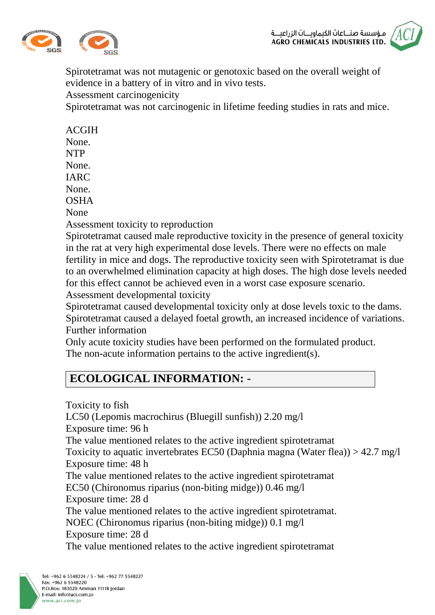



Spirotetramat was not mutagenic or genotoxic based on the overall weight of evidence in a battery of in vitro and in vivo tests.

Assessment carcinogenicity

Spirotetramat was not carcinogenic in lifetime feeding studies in rats and mice.

| <b>ACGIH</b>                          |
|---------------------------------------|
| None.                                 |
| <b>NTP</b>                            |
| None.                                 |
| <b>IARC</b>                           |
| None.                                 |
| <b>OSHA</b>                           |
| None                                  |
| Assessment toxicity to reproduction   |
| Spirotetramat caused male reproduc    |
| in the rat at very high experimental  |
| fertility in mice and dogs. The repro |
| to an overwhelmed elimination capa    |
| for this effect cannot be achieved ev |
| Assessment developmental toxicity     |
| Spirotetramat caused developmental    |
| Spirotetramat caused a delayed foeta  |

Spirotetramat caused male reproductive toxicity in the presence of general toxicity in the rat at very high experimental dose levels. There were no effects on male fertility in mice and dogs. The reproductive toxicity seen with Spirotetramat is due to an overwhelmed elimination capacity at high doses. The high dose levels needed for this effect cannot be achieved even in a worst case exposure scenario.

Spirotetramat caused developmental toxicity only at dose levels toxic to the dams. Spirotetramat caused a delayed foetal growth, an increased incidence of variations. Further information

Only acute toxicity studies have been performed on the formulated product. The non-acute information pertains to the active ingredient(s).

## **ECOLOGICAL INFORMATION: -**

Toxicity to fish LC50 (Lepomis macrochirus (Bluegill sunfish)) 2.20 mg/l Exposure time: 96 h The value mentioned relates to the active ingredient spirotetramat Toxicity to aquatic invertebrates EC50 (Daphnia magna (Water flea)) > 42.7 mg/l Exposure time: 48 h The value mentioned relates to the active ingredient spirotetramat EC50 (Chironomus riparius (non-biting midge)) 0.46 mg/l Exposure time: 28 d The value mentioned relates to the active ingredient spirotetramat. NOEC (Chironomus riparius (non-biting midge)) 0.1 mg/l Exposure time: 28 d The value mentioned relates to the active ingredient spirotetramat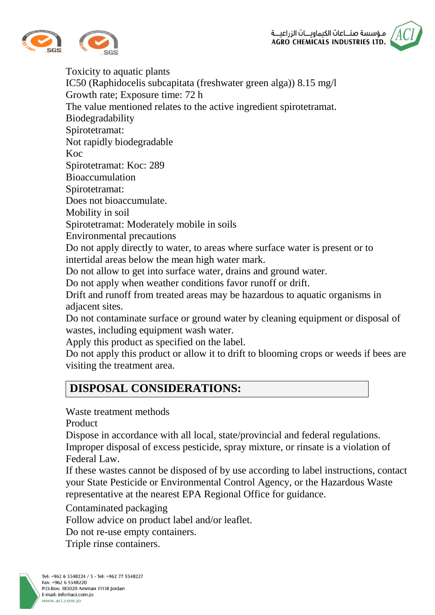



Toxicity to aquatic plants IC50 (Raphidocelis subcapitata (freshwater green alga)) 8.15 mg/l Growth rate; Exposure time: 72 h The value mentioned relates to the active ingredient spirotetramat. Biodegradability Spirotetramat: Not rapidly biodegradable Koc Spirotetramat: Koc: 289 Bioaccumulation Spirotetramat: Does not bioaccumulate. Mobility in soil Spirotetramat: Moderately mobile in soils Environmental precautions Do not apply directly to water, to areas where surface water is present or to intertidal areas below the mean high water mark. Do not allow to get into surface water, drains and ground water. Do not apply when weather conditions favor runoff or drift. Drift and runoff from treated areas may be hazardous to aquatic organisms in

adjacent sites. Do not contaminate surface or ground water by cleaning equipment or disposal of

wastes, including equipment wash water.

Apply this product as specified on the label.

Do not apply this product or allow it to drift to blooming crops or weeds if bees are visiting the treatment area.

# **DISPOSAL CONSIDERATIONS:**

Waste treatment methods

Product

Dispose in accordance with all local, state/provincial and federal regulations. Improper disposal of excess pesticide, spray mixture, or rinsate is a violation of Federal Law.

If these wastes cannot be disposed of by use according to label instructions, contact your State Pesticide or Environmental Control Agency, or the Hazardous Waste representative at the nearest EPA Regional Office for guidance.

Contaminated packaging

Follow advice on product label and/or leaflet.

Do not re-use empty containers.

Triple rinse containers.